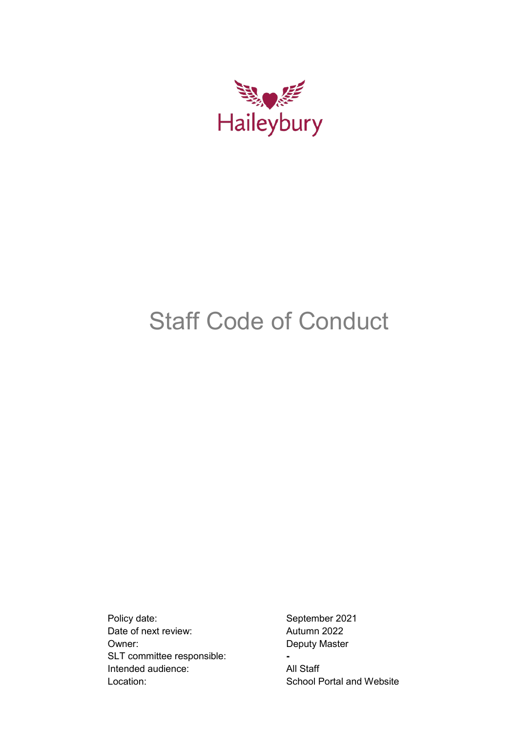

# Staff Code of Conduct

Policy date: September 2021 Date of next review: Autumn 2022 Owner: Deputy Master SLT committee responsible: **-** Intended audience: All Staff Location: School Portal and Website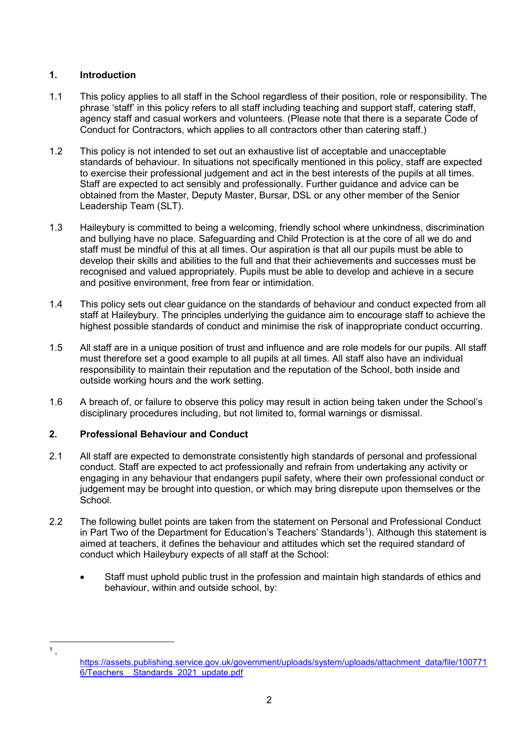# **1. Introduction**

- 1.1 This policy applies to all staff in the School regardless of their position, role or responsibility. The phrase 'staff' in this policy refers to all staff including teaching and support staff, catering staff, agency staff and casual workers and volunteers. (Please note that there is a separate Code of Conduct for Contractors, which applies to all contractors other than catering staff.)
- 1.2 This policy is not intended to set out an exhaustive list of acceptable and unacceptable standards of behaviour. In situations not specifically mentioned in this policy, staff are expected to exercise their professional judgement and act in the best interests of the pupils at all times. Staff are expected to act sensibly and professionally. Further guidance and advice can be obtained from the Master, Deputy Master, Bursar, DSL or any other member of the Senior Leadership Team (SLT).
- 1.3 Haileybury is committed to being a welcoming, friendly school where unkindness, discrimination and bullying have no place. Safeguarding and Child Protection is at the core of all we do and staff must be mindful of this at all times. Our aspiration is that all our pupils must be able to develop their skills and abilities to the full and that their achievements and successes must be recognised and valued appropriately. Pupils must be able to develop and achieve in a secure and positive environment, free from fear or intimidation.
- 1.4 This policy sets out clear guidance on the standards of behaviour and conduct expected from all staff at Haileybury. The principles underlying the guidance aim to encourage staff to achieve the highest possible standards of conduct and minimise the risk of inappropriate conduct occurring.
- 1.5 All staff are in a unique position of trust and influence and are role models for our pupils. All staff must therefore set a good example to all pupils at all times. All staff also have an individual responsibility to maintain their reputation and the reputation of the School, both inside and outside working hours and the work setting.
- 1.6 A breach of, or failure to observe this policy may result in action being taken under the School's disciplinary procedures including, but not limited to, formal warnings or dismissal.

# **2. Professional Behaviour and Conduct**

- 2.1 All staff are expected to demonstrate consistently high standards of personal and professional conduct. Staff are expected to act professionally and refrain from undertaking any activity or engaging in any behaviour that endangers pupil safety, where their own professional conduct or judgement may be brought into question, or which may bring disrepute upon themselves or the School.
- 2.2 The following bullet points are taken from the statement on Personal and Professional Conduct in Part Two of the Department for Education's Teachers' Standards<sup>[1](#page-1-0)</sup>). Although this statement is aimed at teachers, it defines the behaviour and attitudes which set the required standard of conduct which Haileybury expects of all staff at the School:
	- Staff must uphold public trust in the profession and maintain high standards of ethics and behaviour, within and outside school, by:

<span id="page-1-0"></span> $1 \nightharpoonup$ 

[https://assets.publishing.service.gov.uk/government/uploads/system/uploads/attachment\\_data/file/100771](https://assets.publishing.service.gov.uk/government/uploads/system/uploads/attachment_data/file/1007716/Teachers__Standards_2021_update.pdf) [6/Teachers\\_\\_Standards\\_2021\\_update.pdf](https://assets.publishing.service.gov.uk/government/uploads/system/uploads/attachment_data/file/1007716/Teachers__Standards_2021_update.pdf)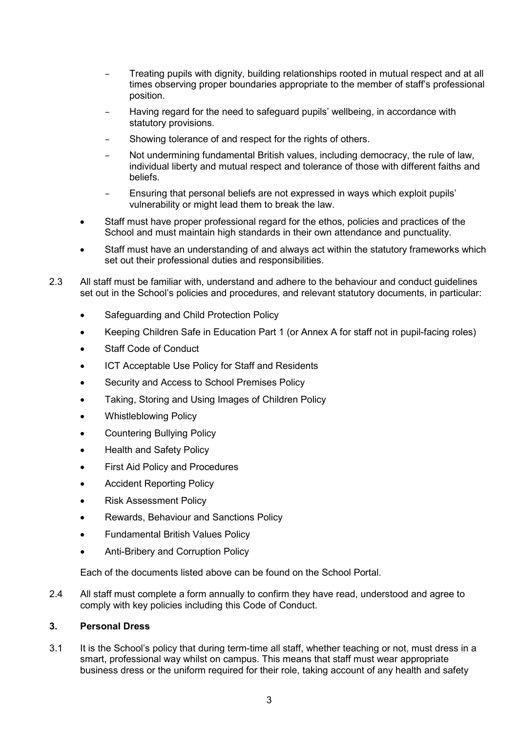- Treating pupils with dignity, building relationships rooted in mutual respect and at all times observing proper boundaries appropriate to the member of staff's professional position.
- Having regard for the need to safeguard pupils' wellbeing, in accordance with statutory provisions.
- Showing tolerance of and respect for the rights of others.
- Not undermining fundamental British values, including democracy, the rule of law, individual liberty and mutual respect and tolerance of those with different faiths and beliefs.
- Ensuring that personal beliefs are not expressed in ways which exploit pupils' vulnerability or might lead them to break the law.
- Staff must have proper professional regard for the ethos, policies and practices of the School and must maintain high standards in their own attendance and punctuality.
- Staff must have an understanding of and always act within the statutory frameworks which set out their professional duties and responsibilities.
- 2.3 All staff must be familiar with, understand and adhere to the behaviour and conduct guidelines set out in the School's policies and procedures, and relevant statutory documents, in particular:
	- Safeguarding and Child Protection Policy
	- Keeping Children Safe in Education Part 1 (or Annex A for staff not in pupil-facing roles)
	- Staff Code of Conduct
	- ICT Acceptable Use Policy for Staff and Residents
	- Security and Access to School Premises Policy
	- Taking, Storing and Using Images of Children Policy
	- Whistleblowing Policy
	- Countering Bullying Policy
	- Health and Safety Policy
	- **First Aid Policy and Procedures**
	- Accident Reporting Policy
	- Risk Assessment Policy
	- Rewards, Behaviour and Sanctions Policy
	- Fundamental British Values Policy
	- Anti-Bribery and Corruption Policy

Each of the documents listed above can be found on the School Portal.

2.4 All staff must complete a form annually to confirm they have read, understood and agree to comply with key policies including this Code of Conduct.

## **3. Personal Dress**

3.1 It is the School's policy that during term-time all staff, whether teaching or not, must dress in a smart, professional way whilst on campus. This means that staff must wear appropriate business dress or the uniform required for their role, taking account of any health and safety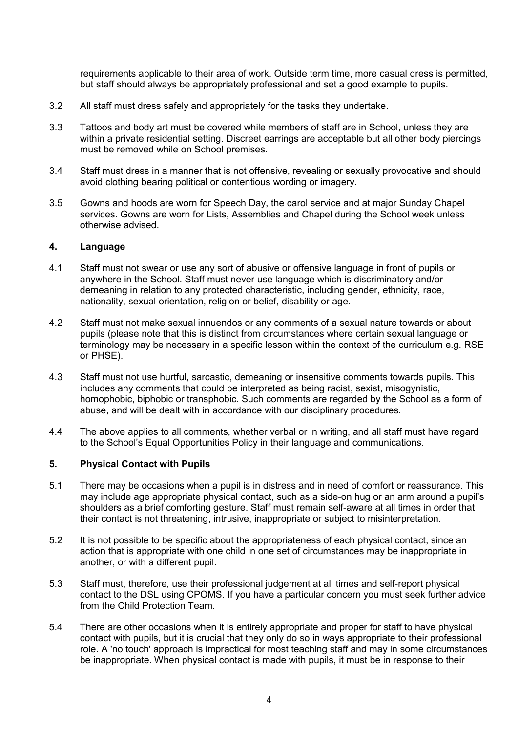requirements applicable to their area of work. Outside term time, more casual dress is permitted, but staff should always be appropriately professional and set a good example to pupils.

- 3.2 All staff must dress safely and appropriately for the tasks they undertake.
- 3.3 Tattoos and body art must be covered while members of staff are in School, unless they are within a private residential setting. Discreet earrings are acceptable but all other body piercings must be removed while on School premises.
- 3.4 Staff must dress in a manner that is not offensive, revealing or sexually provocative and should avoid clothing bearing political or contentious wording or imagery.
- 3.5 Gowns and hoods are worn for Speech Day, the carol service and at major Sunday Chapel services. Gowns are worn for Lists, Assemblies and Chapel during the School week unless otherwise advised.

#### **4. Language**

- 4.1 Staff must not swear or use any sort of abusive or offensive language in front of pupils or anywhere in the School. Staff must never use language which is discriminatory and/or demeaning in relation to any protected characteristic, including gender, ethnicity, race, nationality, sexual orientation, religion or belief, disability or age.
- 4.2 Staff must not make sexual innuendos or any comments of a sexual nature towards or about pupils (please note that this is distinct from circumstances where certain sexual language or terminology may be necessary in a specific lesson within the context of the curriculum e.g. RSE or PHSE).
- 4.3 Staff must not use hurtful, sarcastic, demeaning or insensitive comments towards pupils. This includes any comments that could be interpreted as being racist, sexist, misogynistic, homophobic, biphobic or transphobic. Such comments are regarded by the School as a form of abuse, and will be dealt with in accordance with our disciplinary procedures.
- 4.4 The above applies to all comments, whether verbal or in writing, and all staff must have regard to the School's Equal Opportunities Policy in their language and communications.

## **5. Physical Contact with Pupils**

- 5.1 There may be occasions when a pupil is in distress and in need of comfort or reassurance. This may include age appropriate physical contact, such as a side-on hug or an arm around a pupil's shoulders as a brief comforting gesture. Staff must remain self-aware at all times in order that their contact is not threatening, intrusive, inappropriate or subject to misinterpretation.
- 5.2 It is not possible to be specific about the appropriateness of each physical contact, since an action that is appropriate with one child in one set of circumstances may be inappropriate in another, or with a different pupil.
- 5.3 Staff must, therefore, use their professional judgement at all times and self-report physical contact to the DSL using CPOMS. If you have a particular concern you must seek further advice from the Child Protection Team.
- 5.4 There are other occasions when it is entirely appropriate and proper for staff to have physical contact with pupils, but it is crucial that they only do so in ways appropriate to their professional role. A 'no touch' approach is impractical for most teaching staff and may in some circumstances be inappropriate. When physical contact is made with pupils, it must be in response to their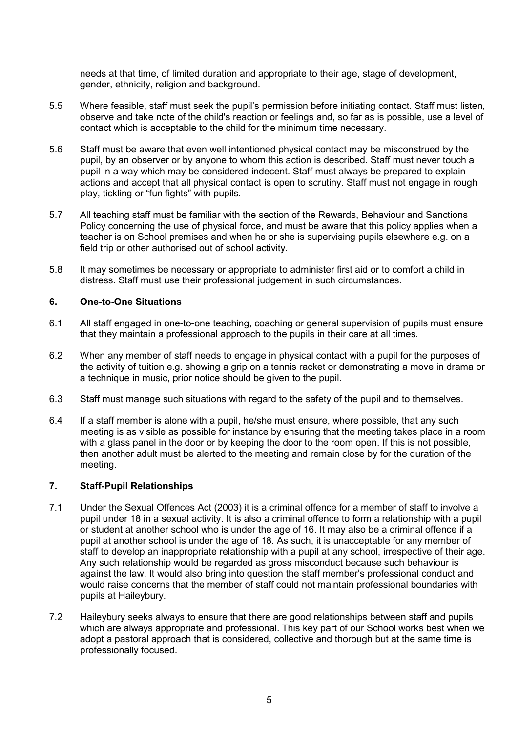needs at that time, of limited duration and appropriate to their age, stage of development, gender, ethnicity, religion and background.

- 5.5 Where feasible, staff must seek the pupil's permission before initiating contact. Staff must listen, observe and take note of the child's reaction or feelings and, so far as is possible, use a level of contact which is acceptable to the child for the minimum time necessary.
- 5.6 Staff must be aware that even well intentioned physical contact may be misconstrued by the pupil, by an observer or by anyone to whom this action is described. Staff must never touch a pupil in a way which may be considered indecent. Staff must always be prepared to explain actions and accept that all physical contact is open to scrutiny. Staff must not engage in rough play, tickling or "fun fights" with pupils.
- 5.7 All teaching staff must be familiar with the section of the Rewards, Behaviour and Sanctions Policy concerning the use of physical force, and must be aware that this policy applies when a teacher is on School premises and when he or she is supervising pupils elsewhere e.g. on a field trip or other authorised out of school activity.
- 5.8 It may sometimes be necessary or appropriate to administer first aid or to comfort a child in distress. Staff must use their professional judgement in such circumstances.

## **6. One-to-One Situations**

- 6.1 All staff engaged in one-to-one teaching, coaching or general supervision of pupils must ensure that they maintain a professional approach to the pupils in their care at all times.
- 6.2 When any member of staff needs to engage in physical contact with a pupil for the purposes of the activity of tuition e.g. showing a grip on a tennis racket or demonstrating a move in drama or a technique in music, prior notice should be given to the pupil.
- 6.3 Staff must manage such situations with regard to the safety of the pupil and to themselves.
- 6.4 If a staff member is alone with a pupil, he/she must ensure, where possible, that any such meeting is as visible as possible for instance by ensuring that the meeting takes place in a room with a glass panel in the door or by keeping the door to the room open. If this is not possible, then another adult must be alerted to the meeting and remain close by for the duration of the meeting.

## **7. Staff-Pupil Relationships**

- 7.1 Under the Sexual Offences Act (2003) it is a criminal offence for a member of staff to involve a pupil under 18 in a sexual activity. It is also a criminal offence to form a relationship with a pupil or student at another school who is under the age of 16. It may also be a criminal offence if a pupil at another school is under the age of 18. As such, it is unacceptable for any member of staff to develop an inappropriate relationship with a pupil at any school, irrespective of their age. Any such relationship would be regarded as gross misconduct because such behaviour is against the law. It would also bring into question the staff member's professional conduct and would raise concerns that the member of staff could not maintain professional boundaries with pupils at Haileybury.
- 7.2 Haileybury seeks always to ensure that there are good relationships between staff and pupils which are always appropriate and professional. This key part of our School works best when we adopt a pastoral approach that is considered, collective and thorough but at the same time is professionally focused.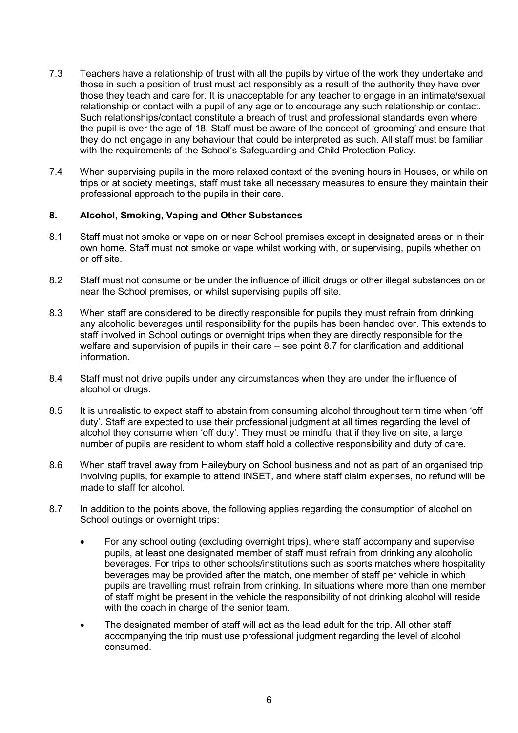- 7.3 Teachers have a relationship of trust with all the pupils by virtue of the work they undertake and those in such a position of trust must act responsibly as a result of the authority they have over those they teach and care for. It is unacceptable for any teacher to engage in an intimate/sexual relationship or contact with a pupil of any age or to encourage any such relationship or contact. Such relationships/contact constitute a breach of trust and professional standards even where the pupil is over the age of 18. Staff must be aware of the concept of 'grooming' and ensure that they do not engage in any behaviour that could be interpreted as such. All staff must be familiar with the requirements of the School's Safeguarding and Child Protection Policy.
- 7.4 When supervising pupils in the more relaxed context of the evening hours in Houses, or while on trips or at society meetings, staff must take all necessary measures to ensure they maintain their professional approach to the pupils in their care.

#### **8. Alcohol, Smoking, Vaping and Other Substances**

- 8.1 Staff must not smoke or vape on or near School premises except in designated areas or in their own home. Staff must not smoke or vape whilst working with, or supervising, pupils whether on or off site.
- 8.2 Staff must not consume or be under the influence of illicit drugs or other illegal substances on or near the School premises, or whilst supervising pupils off site.
- 8.3 When staff are considered to be directly responsible for pupils they must refrain from drinking any alcoholic beverages until responsibility for the pupils has been handed over. This extends to staff involved in School outings or overnight trips when they are directly responsible for the welfare and supervision of pupils in their care – see point 8.7 for clarification and additional information.
- 8.4 Staff must not drive pupils under any circumstances when they are under the influence of alcohol or drugs.
- 8.5 It is unrealistic to expect staff to abstain from consuming alcohol throughout term time when 'off duty'. Staff are expected to use their professional judgment at all times regarding the level of alcohol they consume when 'off duty'. They must be mindful that if they live on site, a large number of pupils are resident to whom staff hold a collective responsibility and duty of care.
- 8.6 When staff travel away from Haileybury on School business and not as part of an organised trip involving pupils, for example to attend INSET, and where staff claim expenses, no refund will be made to staff for alcohol.
- 8.7 In addition to the points above, the following applies regarding the consumption of alcohol on School outings or overnight trips:
	- For any school outing (excluding overnight trips), where staff accompany and supervise pupils, at least one designated member of staff must refrain from drinking any alcoholic beverages. For trips to other schools/institutions such as sports matches where hospitality beverages may be provided after the match, one member of staff per vehicle in which pupils are travelling must refrain from drinking. In situations where more than one member of staff might be present in the vehicle the responsibility of not drinking alcohol will reside with the coach in charge of the senior team.
	- The designated member of staff will act as the lead adult for the trip. All other staff accompanying the trip must use professional judgment regarding the level of alcohol consumed.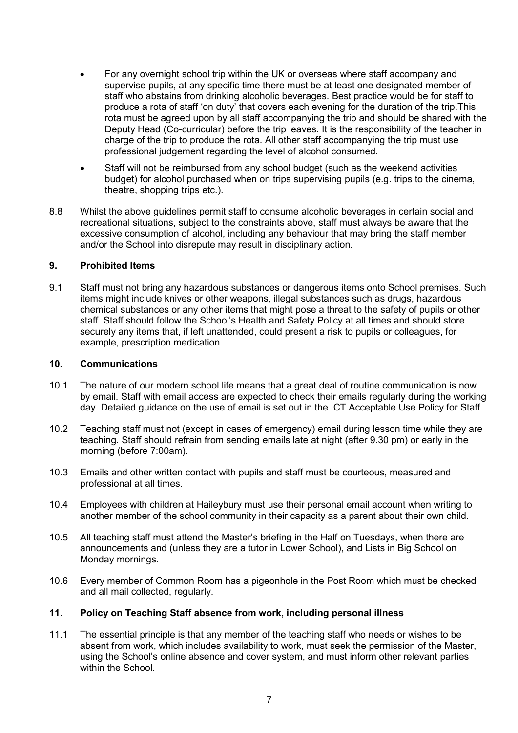- For any overnight school trip within the UK or overseas where staff accompany and supervise pupils, at any specific time there must be at least one designated member of staff who abstains from drinking alcoholic beverages. Best practice would be for staff to produce a rota of staff 'on duty' that covers each evening for the duration of the trip.This rota must be agreed upon by all staff accompanying the trip and should be shared with the Deputy Head (Co-curricular) before the trip leaves. It is the responsibility of the teacher in charge of the trip to produce the rota. All other staff accompanying the trip must use professional judgement regarding the level of alcohol consumed.
- Staff will not be reimbursed from any school budget (such as the weekend activities budget) for alcohol purchased when on trips supervising pupils (e.g. trips to the cinema, theatre, shopping trips etc.).
- 8.8 Whilst the above guidelines permit staff to consume alcoholic beverages in certain social and recreational situations, subject to the constraints above, staff must always be aware that the excessive consumption of alcohol, including any behaviour that may bring the staff member and/or the School into disrepute may result in disciplinary action.

## **9. Prohibited Items**

9.1 Staff must not bring any hazardous substances or dangerous items onto School premises. Such items might include knives or other weapons, illegal substances such as drugs, hazardous chemical substances or any other items that might pose a threat to the safety of pupils or other staff. Staff should follow the School's Health and Safety Policy at all times and should store securely any items that, if left unattended, could present a risk to pupils or colleagues, for example, prescription medication.

#### **10. Communications**

- 10.1 The nature of our modern school life means that a great deal of routine communication is now by email. Staff with email access are expected to check their emails regularly during the working day. Detailed guidance on the use of email is set out in the ICT Acceptable Use Policy for Staff.
- 10.2 Teaching staff must not (except in cases of emergency) email during lesson time while they are teaching. Staff should refrain from sending emails late at night (after 9.30 pm) or early in the morning (before 7:00am).
- 10.3 Emails and other written contact with pupils and staff must be courteous, measured and professional at all times.
- 10.4 Employees with children at Haileybury must use their personal email account when writing to another member of the school community in their capacity as a parent about their own child.
- 10.5 All teaching staff must attend the Master's briefing in the Half on Tuesdays, when there are announcements and (unless they are a tutor in Lower School), and Lists in Big School on Monday mornings.
- 10.6 Every member of Common Room has a pigeonhole in the Post Room which must be checked and all mail collected, regularly.

#### **11. Policy on Teaching Staff absence from work, including personal illness**

11.1 The essential principle is that any member of the teaching staff who needs or wishes to be absent from work, which includes availability to work, must seek the permission of the Master, using the School's online absence and cover system, and must inform other relevant parties within the School.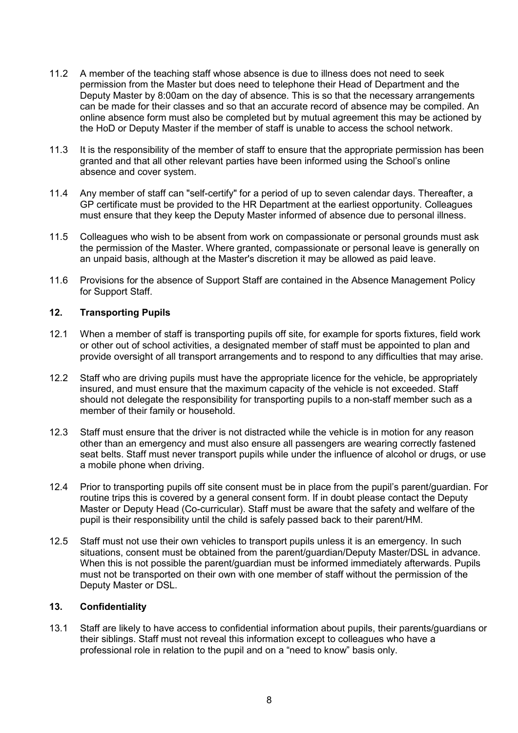- 11.2 A member of the teaching staff whose absence is due to illness does not need to seek permission from the Master but does need to telephone their Head of Department and the Deputy Master by 8:00am on the day of absence. This is so that the necessary arrangements can be made for their classes and so that an accurate record of absence may be compiled. An online absence form must also be completed but by mutual agreement this may be actioned by the HoD or Deputy Master if the member of staff is unable to access the school network.
- 11.3 It is the responsibility of the member of staff to ensure that the appropriate permission has been granted and that all other relevant parties have been informed using the School's online absence and cover system.
- 11.4 Any member of staff can "self-certify" for a period of up to seven calendar days. Thereafter, a GP certificate must be provided to the HR Department at the earliest opportunity. Colleagues must ensure that they keep the Deputy Master informed of absence due to personal illness.
- 11.5 Colleagues who wish to be absent from work on compassionate or personal grounds must ask the permission of the Master. Where granted, compassionate or personal leave is generally on an unpaid basis, although at the Master's discretion it may be allowed as paid leave.
- 11.6 Provisions for the absence of Support Staff are contained in the Absence Management Policy for Support Staff.

## **12. Transporting Pupils**

- 12.1 When a member of staff is transporting pupils off site, for example for sports fixtures, field work or other out of school activities, a designated member of staff must be appointed to plan and provide oversight of all transport arrangements and to respond to any difficulties that may arise.
- 12.2 Staff who are driving pupils must have the appropriate licence for the vehicle, be appropriately insured, and must ensure that the maximum capacity of the vehicle is not exceeded. Staff should not delegate the responsibility for transporting pupils to a non-staff member such as a member of their family or household.
- 12.3 Staff must ensure that the driver is not distracted while the vehicle is in motion for any reason other than an emergency and must also ensure all passengers are wearing correctly fastened seat belts. Staff must never transport pupils while under the influence of alcohol or drugs, or use a mobile phone when driving.
- 12.4 Prior to transporting pupils off site consent must be in place from the pupil's parent/guardian. For routine trips this is covered by a general consent form. If in doubt please contact the Deputy Master or Deputy Head (Co-curricular). Staff must be aware that the safety and welfare of the pupil is their responsibility until the child is safely passed back to their parent/HM.
- 12.5 Staff must not use their own vehicles to transport pupils unless it is an emergency. In such situations, consent must be obtained from the parent/guardian/Deputy Master/DSL in advance. When this is not possible the parent/guardian must be informed immediately afterwards. Pupils must not be transported on their own with one member of staff without the permission of the Deputy Master or DSL.

#### **13. Confidentiality**

13.1 Staff are likely to have access to confidential information about pupils, their parents/guardians or their siblings. Staff must not reveal this information except to colleagues who have a professional role in relation to the pupil and on a "need to know" basis only.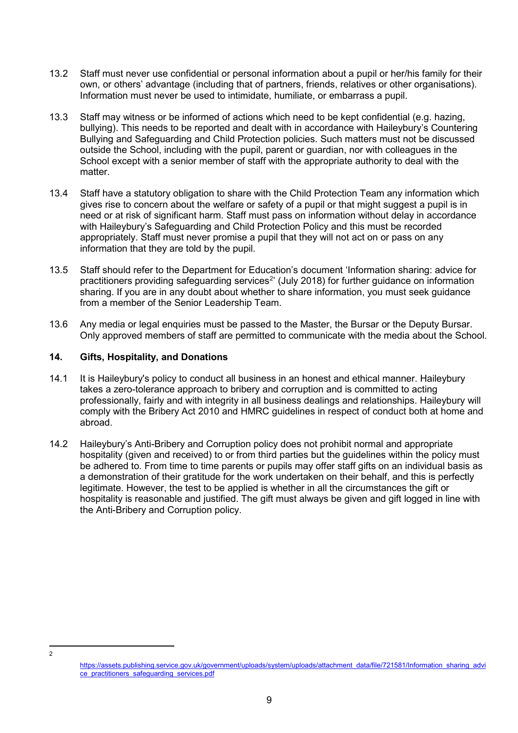- 13.2 Staff must never use confidential or personal information about a pupil or her/his family for their own, or others' advantage (including that of partners, friends, relatives or other organisations). Information must never be used to intimidate, humiliate, or embarrass a pupil.
- 13.3 Staff may witness or be informed of actions which need to be kept confidential (e.g. hazing, bullying). This needs to be reported and dealt with in accordance with Haileybury's Countering Bullying and Safeguarding and Child Protection policies. Such matters must not be discussed outside the School, including with the pupil, parent or guardian, nor with colleagues in the School except with a senior member of staff with the appropriate authority to deal with the matter.
- 13.4 Staff have a statutory obligation to share with the Child Protection Team any information which gives rise to concern about the welfare or safety of a pupil or that might suggest a pupil is in need or at risk of significant harm. Staff must pass on information without delay in accordance with Haileybury's Safeguarding and Child Protection Policy and this must be recorded appropriately. Staff must never promise a pupil that they will not act on or pass on any information that they are told by the pupil.
- 13.5 Staff should refer to the Department for Education's document 'Information sharing: advice for practitioners providing safeguarding services<sup>[2](#page-8-0)</sup>' (July 2018) for further guidance on information sharing. If you are in any doubt about whether to share information, you must seek guidance from a member of the Senior Leadership Team.
- 13.6 Any media or legal enquiries must be passed to the Master, the Bursar or the Deputy Bursar. Only approved members of staff are permitted to communicate with the media about the School.

## **14. Gifts, Hospitality, and Donations**

- 14.1 It is Haileybury's policy to conduct all business in an honest and ethical manner. Haileybury takes a zero-tolerance approach to bribery and corruption and is committed to acting professionally, fairly and with integrity in all business dealings and relationships. Haileybury will comply with the Bribery Act 2010 and HMRC guidelines in respect of conduct both at home and abroad.
- 14.2 Haileybury's Anti-Bribery and Corruption policy does not prohibit normal and appropriate hospitality (given and received) to or from third parties but the guidelines within the policy must be adhered to. From time to time parents or pupils may offer staff gifts on an individual basis as a demonstration of their gratitude for the work undertaken on their behalf, and this is perfectly legitimate. However, the test to be applied is whether in all the circumstances the gift or hospitality is reasonable and justified. The gift must always be given and gift logged in line with the Anti-Bribery and Corruption policy.

<span id="page-8-0"></span> <sup>2</sup>

[https://assets.publishing.service.gov.uk/government/uploads/system/uploads/attachment\\_data/file/721581/Information\\_sharing\\_advi](https://assets.publishing.service.gov.uk/government/uploads/system/uploads/attachment_data/file/721581/Information_sharing_advice_practitioners_safeguarding_services.pdf) [ce\\_practitioners\\_safeguarding\\_services.pdf](https://assets.publishing.service.gov.uk/government/uploads/system/uploads/attachment_data/file/721581/Information_sharing_advice_practitioners_safeguarding_services.pdf)